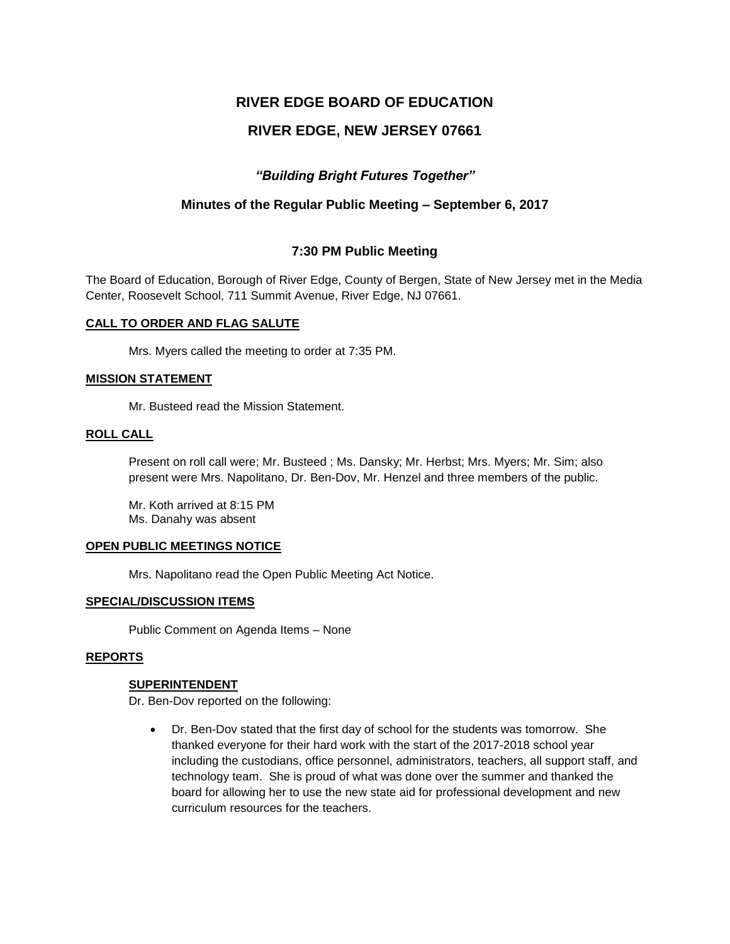# **RIVER EDGE BOARD OF EDUCATION**

# **RIVER EDGE, NEW JERSEY 07661**

# *"Building Bright Futures Together"*

# **Minutes of the Regular Public Meeting – September 6, 2017**

# **7:30 PM Public Meeting**

The Board of Education, Borough of River Edge, County of Bergen, State of New Jersey met in the Media Center, Roosevelt School, 711 Summit Avenue, River Edge, NJ 07661.

#### **CALL TO ORDER AND FLAG SALUTE**

Mrs. Myers called the meeting to order at 7:35 PM.

#### **MISSION STATEMENT**

Mr. Busteed read the Mission Statement.

#### **ROLL CALL**

Present on roll call were; Mr. Busteed ; Ms. Dansky; Mr. Herbst; Mrs. Myers; Mr. Sim; also present were Mrs. Napolitano, Dr. Ben-Dov, Mr. Henzel and three members of the public.

Mr. Koth arrived at 8:15 PM Ms. Danahy was absent

#### **OPEN PUBLIC MEETINGS NOTICE**

Mrs. Napolitano read the Open Public Meeting Act Notice.

#### **SPECIAL/DISCUSSION ITEMS**

Public Comment on Agenda Items – None

#### **REPORTS**

#### **SUPERINTENDENT**

Dr. Ben-Dov reported on the following:

 Dr. Ben-Dov stated that the first day of school for the students was tomorrow. She thanked everyone for their hard work with the start of the 2017-2018 school year including the custodians, office personnel, administrators, teachers, all support staff, and technology team. She is proud of what was done over the summer and thanked the board for allowing her to use the new state aid for professional development and new curriculum resources for the teachers.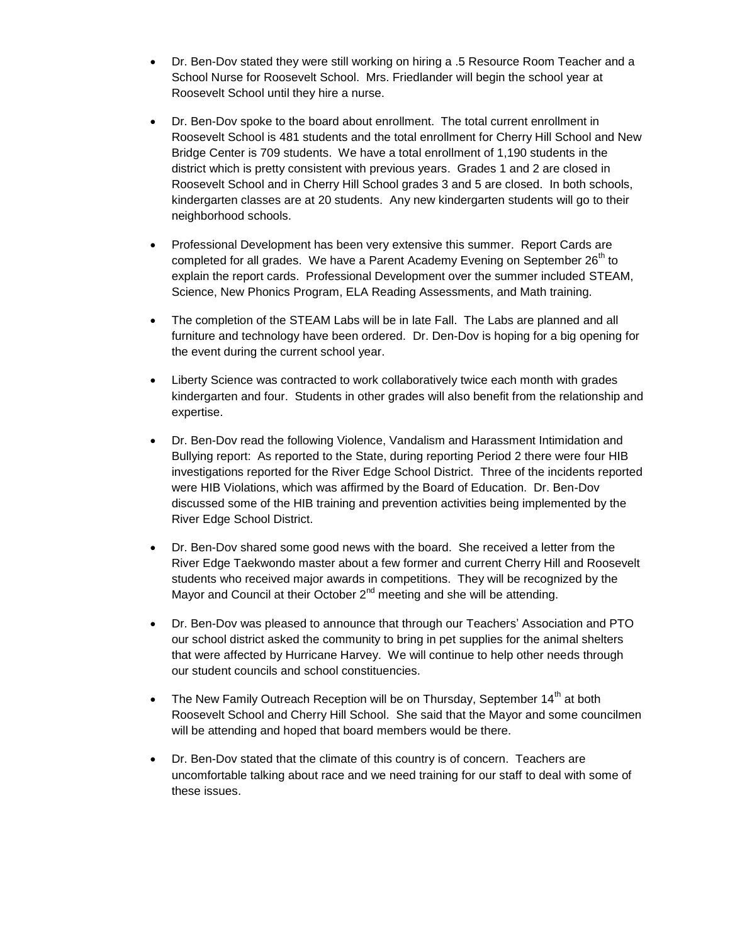- Dr. Ben-Dov stated they were still working on hiring a .5 Resource Room Teacher and a School Nurse for Roosevelt School. Mrs. Friedlander will begin the school year at Roosevelt School until they hire a nurse.
- Dr. Ben-Dov spoke to the board about enrollment. The total current enrollment in Roosevelt School is 481 students and the total enrollment for Cherry Hill School and New Bridge Center is 709 students. We have a total enrollment of 1,190 students in the district which is pretty consistent with previous years. Grades 1 and 2 are closed in Roosevelt School and in Cherry Hill School grades 3 and 5 are closed. In both schools, kindergarten classes are at 20 students. Any new kindergarten students will go to their neighborhood schools.
- Professional Development has been very extensive this summer. Report Cards are completed for all grades. We have a Parent Academy Evening on September  $26<sup>th</sup>$  to explain the report cards. Professional Development over the summer included STEAM, Science, New Phonics Program, ELA Reading Assessments, and Math training.
- The completion of the STEAM Labs will be in late Fall. The Labs are planned and all furniture and technology have been ordered. Dr. Den-Dov is hoping for a big opening for the event during the current school year.
- Liberty Science was contracted to work collaboratively twice each month with grades kindergarten and four. Students in other grades will also benefit from the relationship and expertise.
- Dr. Ben-Dov read the following Violence, Vandalism and Harassment Intimidation and Bullying report: As reported to the State, during reporting Period 2 there were four HIB investigations reported for the River Edge School District. Three of the incidents reported were HIB Violations, which was affirmed by the Board of Education. Dr. Ben-Dov discussed some of the HIB training and prevention activities being implemented by the River Edge School District.
- Dr. Ben-Dov shared some good news with the board. She received a letter from the River Edge Taekwondo master about a few former and current Cherry Hill and Roosevelt students who received major awards in competitions. They will be recognized by the Mayor and Council at their October  $2^{nd}$  meeting and she will be attending.
- Dr. Ben-Dov was pleased to announce that through our Teachers' Association and PTO our school district asked the community to bring in pet supplies for the animal shelters that were affected by Hurricane Harvey. We will continue to help other needs through our student councils and school constituencies.
- The New Family Outreach Reception will be on Thursday, September  $14<sup>th</sup>$  at both Roosevelt School and Cherry Hill School. She said that the Mayor and some councilmen will be attending and hoped that board members would be there.
- Dr. Ben-Dov stated that the climate of this country is of concern. Teachers are uncomfortable talking about race and we need training for our staff to deal with some of these issues.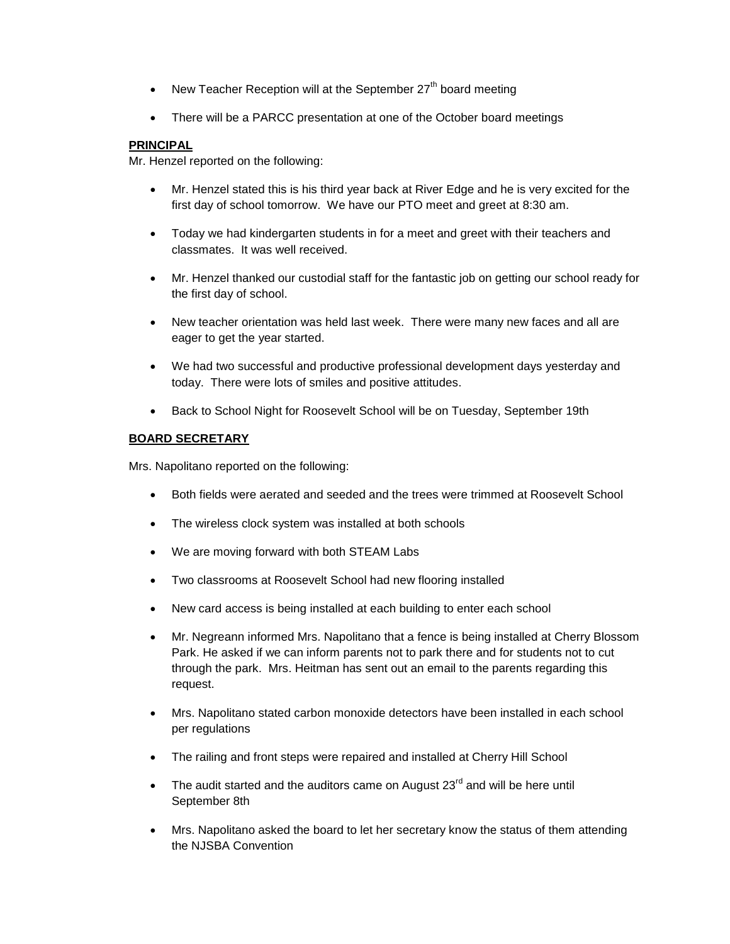- New Teacher Reception will at the September  $27<sup>th</sup>$  board meeting
- There will be a PARCC presentation at one of the October board meetings

# **PRINCIPAL**

Mr. Henzel reported on the following:

- Mr. Henzel stated this is his third year back at River Edge and he is very excited for the first day of school tomorrow. We have our PTO meet and greet at 8:30 am.
- Today we had kindergarten students in for a meet and greet with their teachers and classmates. It was well received.
- Mr. Henzel thanked our custodial staff for the fantastic job on getting our school ready for the first day of school.
- New teacher orientation was held last week. There were many new faces and all are eager to get the year started.
- We had two successful and productive professional development days yesterday and today. There were lots of smiles and positive attitudes.
- Back to School Night for Roosevelt School will be on Tuesday, September 19th

# **BOARD SECRETARY**

Mrs. Napolitano reported on the following:

- Both fields were aerated and seeded and the trees were trimmed at Roosevelt School
- The wireless clock system was installed at both schools
- We are moving forward with both STEAM Labs
- Two classrooms at Roosevelt School had new flooring installed
- New card access is being installed at each building to enter each school
- Mr. Negreann informed Mrs. Napolitano that a fence is being installed at Cherry Blossom Park. He asked if we can inform parents not to park there and for students not to cut through the park. Mrs. Heitman has sent out an email to the parents regarding this request.
- Mrs. Napolitano stated carbon monoxide detectors have been installed in each school per regulations
- The railing and front steps were repaired and installed at Cherry Hill School
- $\bullet$  The audit started and the auditors came on August 23<sup>rd</sup> and will be here until September 8th
- Mrs. Napolitano asked the board to let her secretary know the status of them attending the NJSBA Convention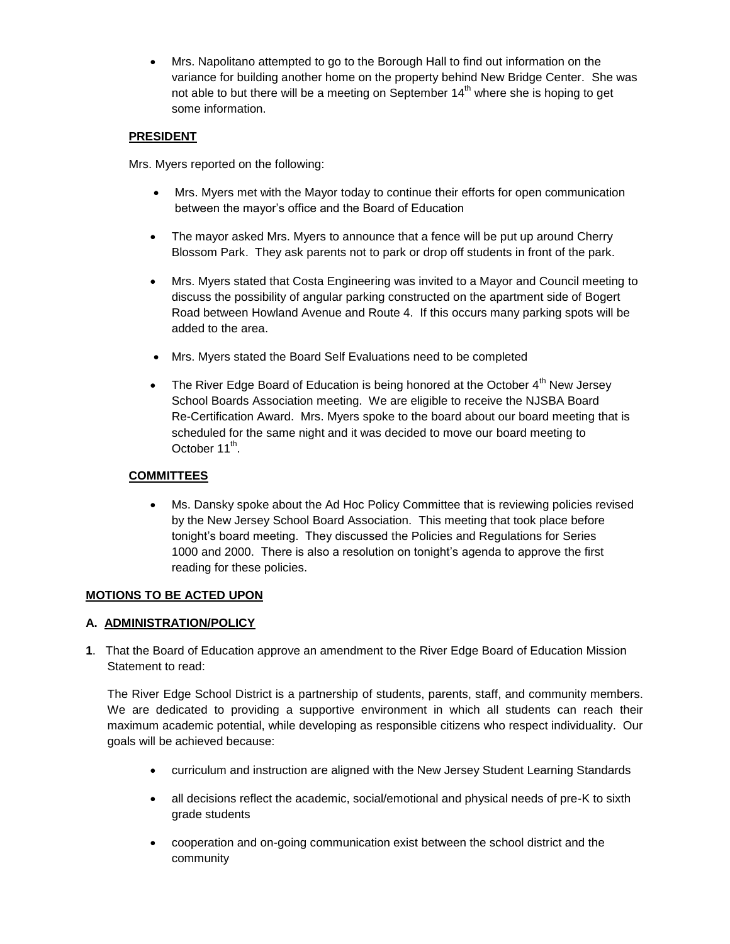Mrs. Napolitano attempted to go to the Borough Hall to find out information on the variance for building another home on the property behind New Bridge Center. She was not able to but there will be a meeting on September  $14<sup>th</sup>$  where she is hoping to get some information.

# **PRESIDENT**

Mrs. Myers reported on the following:

- Mrs. Myers met with the Mayor today to continue their efforts for open communication between the mayor's office and the Board of Education
- The mayor asked Mrs. Myers to announce that a fence will be put up around Cherry Blossom Park. They ask parents not to park or drop off students in front of the park.
- Mrs. Myers stated that Costa Engineering was invited to a Mayor and Council meeting to discuss the possibility of angular parking constructed on the apartment side of Bogert Road between Howland Avenue and Route 4. If this occurs many parking spots will be added to the area.
- Mrs. Myers stated the Board Self Evaluations need to be completed
- The River Edge Board of Education is being honored at the October  $4<sup>th</sup>$  New Jersey School Boards Association meeting. We are eligible to receive the NJSBA Board Re-Certification Award. Mrs. Myers spoke to the board about our board meeting that is scheduled for the same night and it was decided to move our board meeting to October 11<sup>th</sup>.

# **COMMITTEES**

 Ms. Dansky spoke about the Ad Hoc Policy Committee that is reviewing policies revised by the New Jersey School Board Association. This meeting that took place before tonight's board meeting. They discussed the Policies and Regulations for Series 1000 and 2000. There is also a resolution on tonight's agenda to approve the first reading for these policies.

# **MOTIONS TO BE ACTED UPON**

# **A. ADMINISTRATION/POLICY**

**1**. That the Board of Education approve an amendment to the River Edge Board of Education Mission Statement to read:

The River Edge School District is a partnership of students, parents, staff, and community members. We are dedicated to providing a supportive environment in which all students can reach their maximum academic potential, while developing as responsible citizens who respect individuality. Our goals will be achieved because:

- curriculum and instruction are aligned with the New Jersey Student Learning Standards
- all decisions reflect the academic, social/emotional and physical needs of pre-K to sixth grade students
- cooperation and on-going communication exist between the school district and the community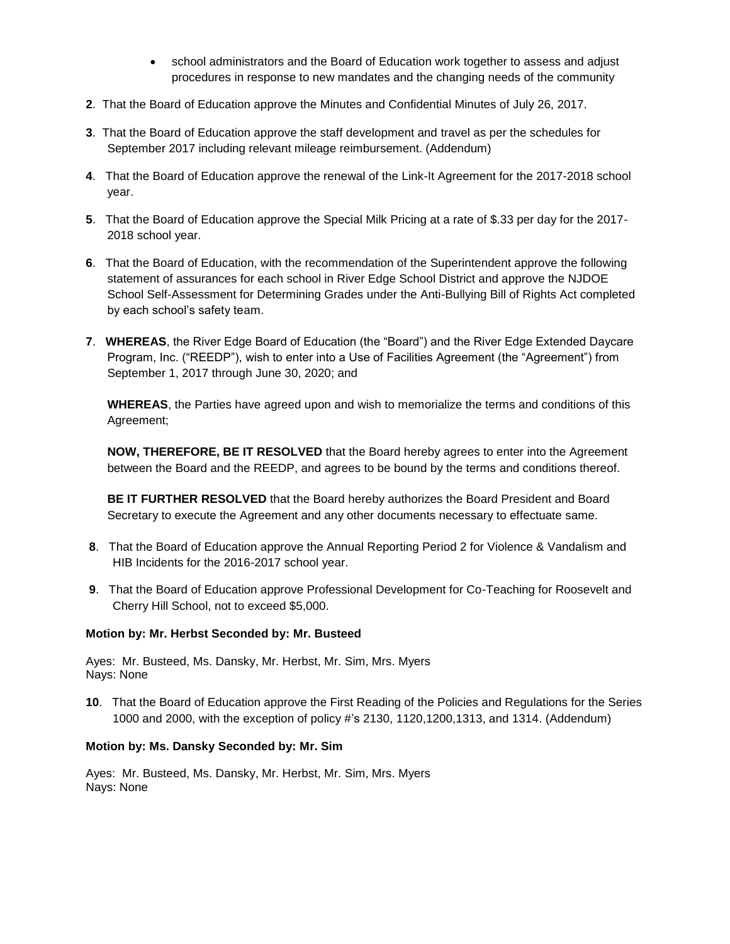- school administrators and the Board of Education work together to assess and adjust procedures in response to new mandates and the changing needs of the community
- **2**. That the Board of Education approve the Minutes and Confidential Minutes of July 26, 2017.
- **3**. That the Board of Education approve the staff development and travel as per the schedules for September 2017 including relevant mileage reimbursement. (Addendum)
- **4**. That the Board of Education approve the renewal of the Link-It Agreement for the 2017-2018 school year.
- **5**. That the Board of Education approve the Special Milk Pricing at a rate of \$.33 per day for the 2017- 2018 school year.
- **6**. That the Board of Education, with the recommendation of the Superintendent approve the following statement of assurances for each school in River Edge School District and approve the NJDOE School Self-Assessment for Determining Grades under the Anti-Bullying Bill of Rights Act completed by each school's safety team.
- **7**. **WHEREAS**, the River Edge Board of Education (the "Board") and the River Edge Extended Daycare Program, Inc. ("REEDP"), wish to enter into a Use of Facilities Agreement (the "Agreement") from September 1, 2017 through June 30, 2020; and

**WHEREAS**, the Parties have agreed upon and wish to memorialize the terms and conditions of this Agreement;

**NOW, THEREFORE, BE IT RESOLVED** that the Board hereby agrees to enter into the Agreement between the Board and the REEDP, and agrees to be bound by the terms and conditions thereof.

**BE IT FURTHER RESOLVED** that the Board hereby authorizes the Board President and Board Secretary to execute the Agreement and any other documents necessary to effectuate same.

- **8**. That the Board of Education approve the Annual Reporting Period 2 for Violence & Vandalism and HIB Incidents for the 2016-2017 school year.
- **9**. That the Board of Education approve Professional Development for Co-Teaching for Roosevelt and Cherry Hill School, not to exceed \$5,000.

#### **Motion by: Mr. Herbst Seconded by: Mr. Busteed**

Ayes: Mr. Busteed, Ms. Dansky, Mr. Herbst, Mr. Sim, Mrs. Myers Nays: None

**10**. That the Board of Education approve the First Reading of the Policies and Regulations for the Series 1000 and 2000, with the exception of policy #'s 2130, 1120,1200,1313, and 1314. (Addendum)

#### **Motion by: Ms. Dansky Seconded by: Mr. Sim**

Ayes: Mr. Busteed, Ms. Dansky, Mr. Herbst, Mr. Sim, Mrs. Myers Nays: None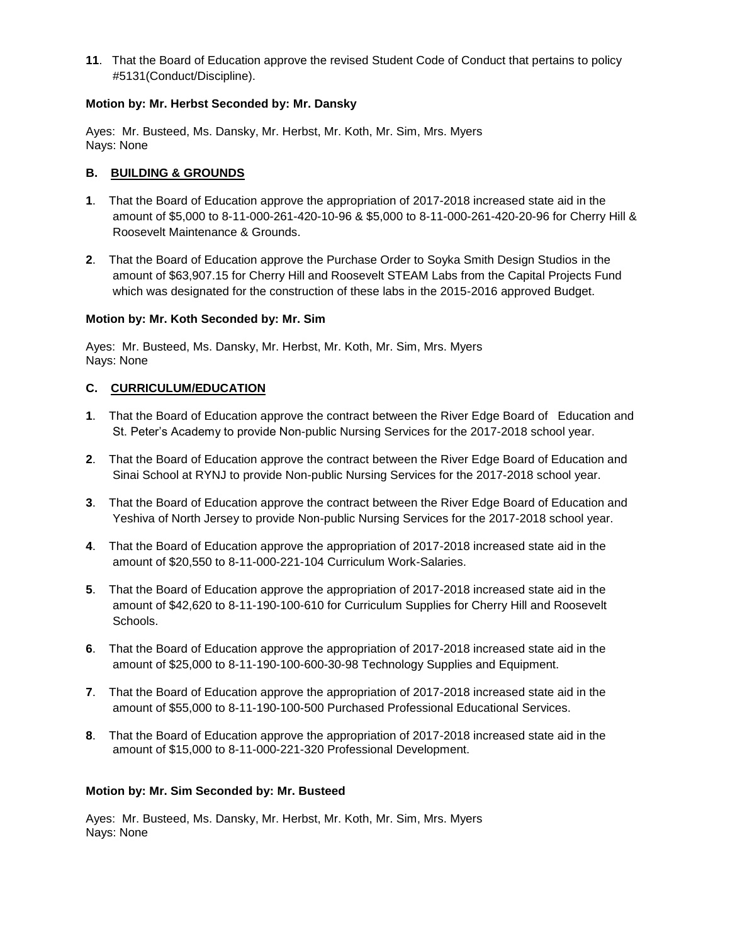**11**. That the Board of Education approve the revised Student Code of Conduct that pertains to policy #5131(Conduct/Discipline).

### **Motion by: Mr. Herbst Seconded by: Mr. Dansky**

Ayes: Mr. Busteed, Ms. Dansky, Mr. Herbst, Mr. Koth, Mr. Sim, Mrs. Myers Nays: None

### **B. BUILDING & GROUNDS**

- **1**. That the Board of Education approve the appropriation of 2017-2018 increased state aid in the amount of \$5,000 to 8-11-000-261-420-10-96 & \$5,000 to 8-11-000-261-420-20-96 for Cherry Hill & Roosevelt Maintenance & Grounds.
- **2**. That the Board of Education approve the Purchase Order to Soyka Smith Design Studios in the amount of \$63,907.15 for Cherry Hill and Roosevelt STEAM Labs from the Capital Projects Fund which was designated for the construction of these labs in the 2015-2016 approved Budget.

### **Motion by: Mr. Koth Seconded by: Mr. Sim**

Ayes: Mr. Busteed, Ms. Dansky, Mr. Herbst, Mr. Koth, Mr. Sim, Mrs. Myers Nays: None

### **C. CURRICULUM/EDUCATION**

- **1**. That the Board of Education approve the contract between the River Edge Board of Education and St. Peter's Academy to provide Non-public Nursing Services for the 2017-2018 school year.
- **2**. That the Board of Education approve the contract between the River Edge Board of Education and Sinai School at RYNJ to provide Non-public Nursing Services for the 2017-2018 school year.
- **3**. That the Board of Education approve the contract between the River Edge Board of Education and Yeshiva of North Jersey to provide Non-public Nursing Services for the 2017-2018 school year.
- **4**. That the Board of Education approve the appropriation of 2017-2018 increased state aid in the amount of \$20,550 to 8-11-000-221-104 Curriculum Work-Salaries.
- **5**. That the Board of Education approve the appropriation of 2017-2018 increased state aid in the amount of \$42,620 to 8-11-190-100-610 for Curriculum Supplies for Cherry Hill and Roosevelt Schools.
- **6**. That the Board of Education approve the appropriation of 2017-2018 increased state aid in the amount of \$25,000 to 8-11-190-100-600-30-98 Technology Supplies and Equipment.
- **7**. That the Board of Education approve the appropriation of 2017-2018 increased state aid in the amount of \$55,000 to 8-11-190-100-500 Purchased Professional Educational Services.
- **8**. That the Board of Education approve the appropriation of 2017-2018 increased state aid in the amount of \$15,000 to 8-11-000-221-320 Professional Development.

#### **Motion by: Mr. Sim Seconded by: Mr. Busteed**

Ayes: Mr. Busteed, Ms. Dansky, Mr. Herbst, Mr. Koth, Mr. Sim, Mrs. Myers Nays: None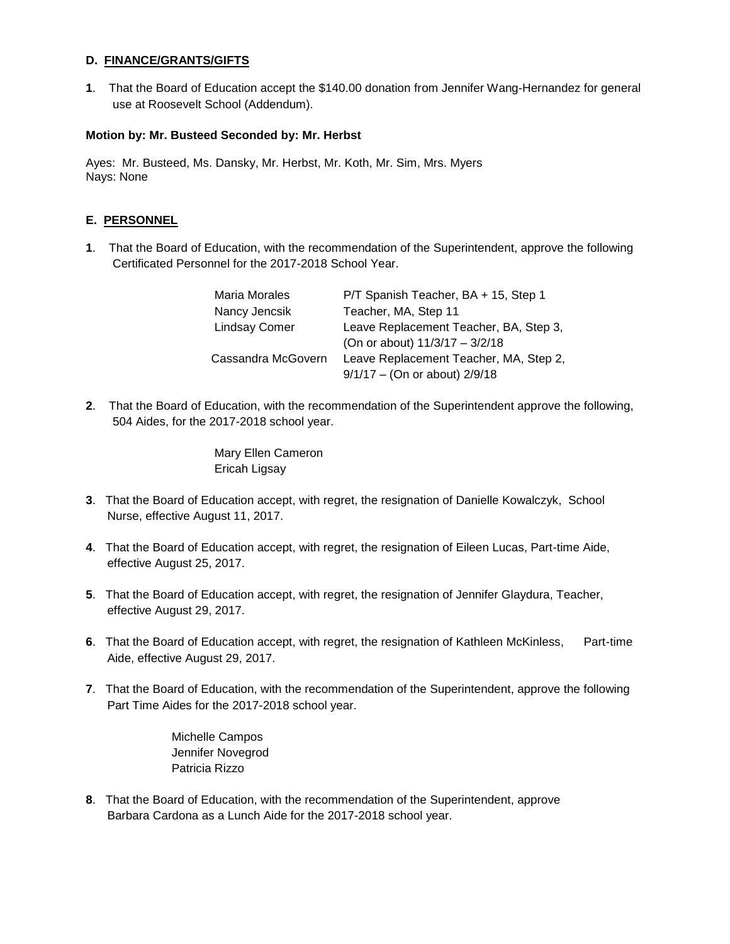### **D. FINANCE/GRANTS/GIFTS**

**1**. That the Board of Education accept the \$140.00 donation from Jennifer Wang-Hernandez for general use at Roosevelt School (Addendum).

### **Motion by: Mr. Busteed Seconded by: Mr. Herbst**

Ayes: Mr. Busteed, Ms. Dansky, Mr. Herbst, Mr. Koth, Mr. Sim, Mrs. Myers Nays: None

# **E. PERSONNEL**

**1**. That the Board of Education, with the recommendation of the Superintendent, approve the following Certificated Personnel for the 2017-2018 School Year.

| <b>Maria Morales</b> | P/T Spanish Teacher, BA + 15, Step 1   |
|----------------------|----------------------------------------|
| Nancy Jencsik        | Teacher, MA, Step 11                   |
| <b>Lindsay Comer</b> | Leave Replacement Teacher, BA, Step 3, |
|                      | (On or about) 11/3/17 - 3/2/18         |
| Cassandra McGovern   | Leave Replacement Teacher, MA, Step 2, |
|                      | $9/1/17$ – (On or about) 2/9/18        |

**2**. That the Board of Education, with the recommendation of the Superintendent approve the following, 504 Aides, for the 2017-2018 school year.

> Mary Ellen Cameron Ericah Ligsay

- **3**. That the Board of Education accept, with regret, the resignation of Danielle Kowalczyk, School Nurse, effective August 11, 2017.
- **4**. That the Board of Education accept, with regret, the resignation of Eileen Lucas, Part-time Aide, effective August 25, 2017.
- **5**. That the Board of Education accept, with regret, the resignation of Jennifer Glaydura, Teacher, effective August 29, 2017.
- **6**. That the Board of Education accept, with regret, the resignation of Kathleen McKinless, Part-time Aide, effective August 29, 2017.
- **7**. That the Board of Education, with the recommendation of the Superintendent, approve the following Part Time Aides for the 2017-2018 school year.

Michelle Campos Jennifer Novegrod Patricia Rizzo

**8**. That the Board of Education, with the recommendation of the Superintendent, approve Barbara Cardona as a Lunch Aide for the 2017-2018 school year.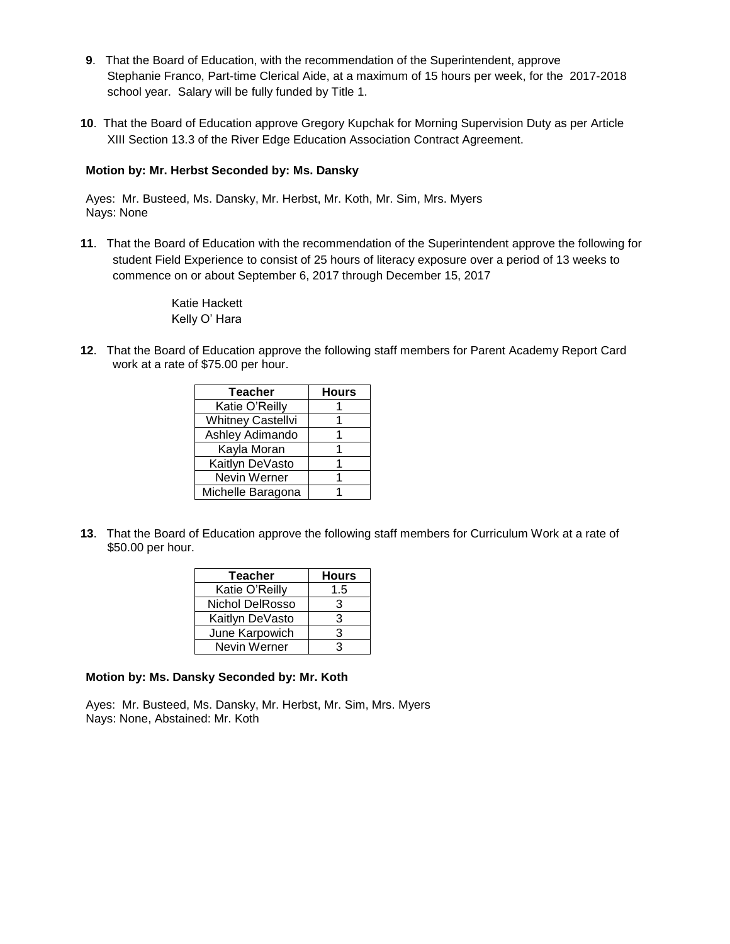- **9**. That the Board of Education, with the recommendation of the Superintendent, approve Stephanie Franco, Part-time Clerical Aide, at a maximum of 15 hours per week, for the 2017-2018 school year. Salary will be fully funded by Title 1.
- **10**. That the Board of Education approve Gregory Kupchak for Morning Supervision Duty as per Article XIII Section 13.3 of the River Edge Education Association Contract Agreement.

### **Motion by: Mr. Herbst Seconded by: Ms. Dansky**

Ayes: Mr. Busteed, Ms. Dansky, Mr. Herbst, Mr. Koth, Mr. Sim, Mrs. Myers Nays: None

**11**. That the Board of Education with the recommendation of the Superintendent approve the following for student Field Experience to consist of 25 hours of literacy exposure over a period of 13 weeks to commence on or about September 6, 2017 through December 15, 2017

> Katie Hackett Kelly O' Hara

**12**. That the Board of Education approve the following staff members for Parent Academy Report Card work at a rate of \$75.00 per hour.

| <b>Teacher</b>           | <b>Hours</b> |  |
|--------------------------|--------------|--|
| Katie O'Reilly           |              |  |
| <b>Whitney Castellvi</b> |              |  |
| Ashley Adimando          |              |  |
| Kayla Moran              |              |  |
| Kaitlyn DeVasto          |              |  |
| Nevin Werner             |              |  |
| Michelle Baragona        |              |  |

**13**. That the Board of Education approve the following staff members for Curriculum Work at a rate of \$50.00 per hour.

| <b>Teacher</b>  | <b>Hours</b> |  |
|-----------------|--------------|--|
| Katie O'Reilly  | 1.5          |  |
| Nichol DelRosso | з            |  |
| Kaitlyn DeVasto | 3            |  |
| June Karpowich  | 3            |  |
| Nevin Werner    | ว            |  |

#### **Motion by: Ms. Dansky Seconded by: Mr. Koth**

Ayes: Mr. Busteed, Ms. Dansky, Mr. Herbst, Mr. Sim, Mrs. Myers Nays: None, Abstained: Mr. Koth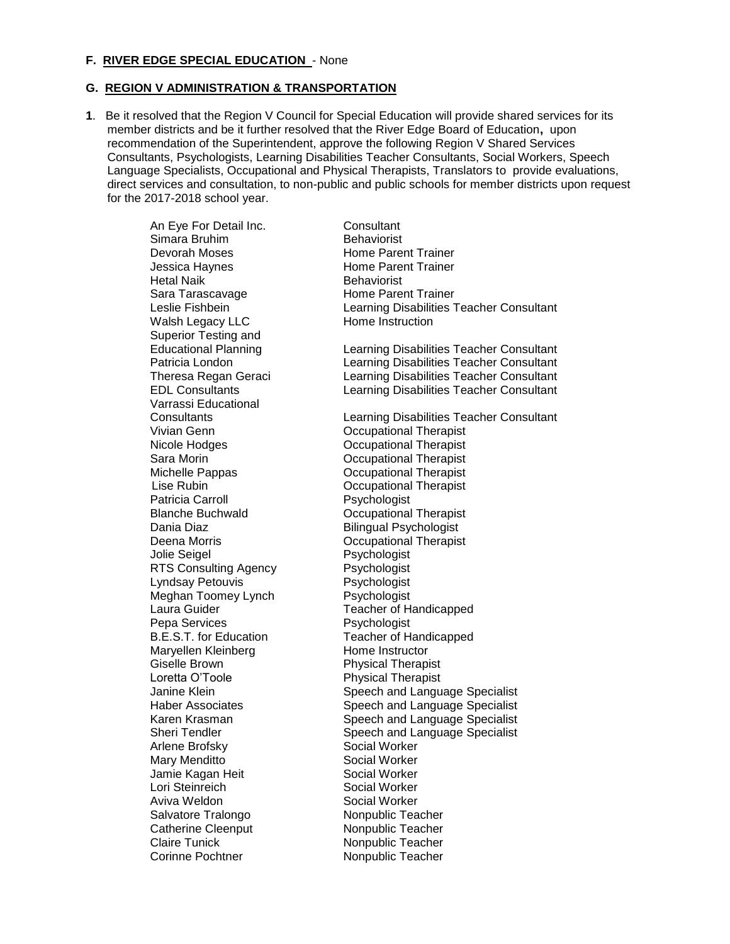#### **F. RIVER EDGE SPECIAL EDUCATION** - None

#### **G. REGION V ADMINISTRATION & TRANSPORTATION**

**1**. Be it resolved that the Region V Council for Special Education will provide shared services for its member districts and be it further resolved that the River Edge Board of Education**,** upon recommendation of the Superintendent, approve the following Region V Shared Services Consultants, Psychologists, Learning Disabilities Teacher Consultants, Social Workers, Speech Language Specialists, Occupational and Physical Therapists, Translators to provide evaluations, direct services and consultation, to non-public and public schools for member districts upon request for the 2017-2018 school year.

> An Eye For Detail Inc. Consultant Simara Bruhim Behaviorist Devorah Moses **Home Parent Trainer** Jessica Haynes **Home Parent Trainer** Hetal Naik **Behaviorist** Sara Tarascavage **Home Parent Trainer** Walsh Legacy LLC Home Instruction Superior Testing and Varrassi Educational Vivian Genn Occupational Therapist Nicole Hodges **Constructional Therapist** Sara Morin **Communist** Communist Communist Communist Occupational Therapist Michelle Pappas **Communist** Occupational Therapist Lise Rubin Occupational Therapist Patricia Carroll **Patricia** Carroll **PSychologist** Blanche Buchwald **December 19 Containers** Occupational Therapist Dania Diaz **Bilingual Psychologist** Deena Morris **Deena Morris COLLECTIVITY Occupational Therapist** Jolie Seigel **Psychologist** RTS Consulting Agency **Psychologist** Lyndsay Petouvis et also resychologist<br>Meghan Toomey Lynch et Psychologist Meghan Toomey Lynch<br>Laura Guider Pepa Services **Propriet Services** Psychologist Maryellen Kleinberg **Home Instructor** Giselle Brown Physical Therapist Arlene Brofsky Social Worker<br>Mary Menditto Social Worker Mary Menditto Jamie Kagan Heit Social Worker Lori Steinreich Social Worker Aviva Weldon **Social Worker** Salvatore Tralongo Nonpublic Teacher Catherine Cleenput Nonpublic Teacher Claire Tunick **Nonpublic Teacher** Corinne Pochtner Nonpublic Teacher

Leslie Fishbein Learning Disabilities Teacher Consultant Educational Planning Learning Disabilities Teacher Consultant Patricia London Learning Disabilities Teacher Consultant Theresa Regan Geraci Learning Disabilities Teacher Consultant EDL Consultants Learning Disabilities Teacher Consultant Consultants Learning Disabilities Teacher Consultant Teacher of Handicapped B.E.S.T. for Education Teacher of Handicapped Physical Therapist Janine Klein **Speech and Language Specialist** Haber Associates **Speech and Language Specialist** Karen Krasman Speech and Language Specialist Sheri Tendler Speech and Language Specialist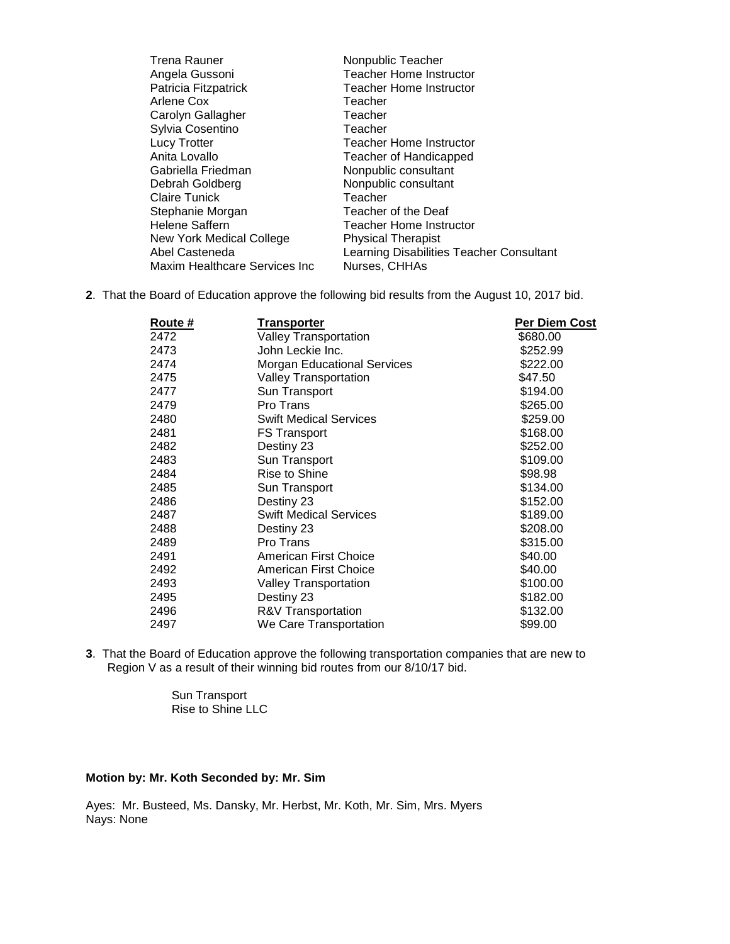| <b>Trena Rauner</b>           | Nonpublic Teacher                        |
|-------------------------------|------------------------------------------|
| Angela Gussoni                | <b>Teacher Home Instructor</b>           |
| Patricia Fitzpatrick          | <b>Teacher Home Instructor</b>           |
| Arlene Cox                    | Teacher                                  |
| Carolyn Gallagher             | Teacher                                  |
| Sylvia Cosentino              | Teacher                                  |
| <b>Lucy Trotter</b>           | Teacher Home Instructor                  |
| Anita Lovallo                 | Teacher of Handicapped                   |
| Gabriella Friedman            | Nonpublic consultant                     |
| Debrah Goldberg               | Nonpublic consultant                     |
| <b>Claire Tunick</b>          | Teacher                                  |
| Stephanie Morgan              | Teacher of the Deaf                      |
| <b>Helene Saffern</b>         | Teacher Home Instructor                  |
| New York Medical College      | <b>Physical Therapist</b>                |
| Abel Casteneda                | Learning Disabilities Teacher Consultant |
| Maxim Healthcare Services Inc | Nurses, CHHAs                            |
|                               |                                          |

**2**. That the Board of Education approve the following bid results from the August 10, 2017 bid.

| <b>Route</b> # | <u>Transporter</u>                 | <b>Per Diem Cost</b> |
|----------------|------------------------------------|----------------------|
| 2472           | Valley Transportation              | \$680.00             |
| 2473           | John Leckie Inc.                   | \$252.99             |
| 2474           | <b>Morgan Educational Services</b> | \$222.00             |
| 2475           | <b>Valley Transportation</b>       | \$47.50              |
| 2477           | Sun Transport                      | \$194.00             |
| 2479           | Pro Trans                          | \$265.00             |
| 2480           | <b>Swift Medical Services</b>      | \$259.00             |
| 2481           | <b>FS Transport</b>                | \$168.00             |
| 2482           | Destiny 23                         | \$252.00             |
| 2483           | Sun Transport                      | \$109.00             |
| 2484           | Rise to Shine                      | \$98.98              |
| 2485           | Sun Transport                      | \$134.00             |
| 2486           | Destiny 23                         | \$152.00             |
| 2487           | <b>Swift Medical Services</b>      | \$189.00             |
| 2488           | Destiny 23                         | \$208.00             |
| 2489           | Pro Trans                          | \$315.00             |
| 2491           | American First Choice              | \$40.00              |
| 2492           | American First Choice              | \$40.00              |
| 2493           | <b>Valley Transportation</b>       | \$100.00             |
| 2495           | Destiny 23                         | \$182.00             |
| 2496           | R&V Transportation                 | \$132.00             |
| 2497           | We Care Transportation             | \$99.00              |

**3**. That the Board of Education approve the following transportation companies that are new to Region V as a result of their winning bid routes from our 8/10/17 bid.

> Sun Transport Rise to Shine LLC

### **Motion by: Mr. Koth Seconded by: Mr. Sim**

Ayes: Mr. Busteed, Ms. Dansky, Mr. Herbst, Mr. Koth, Mr. Sim, Mrs. Myers Nays: None